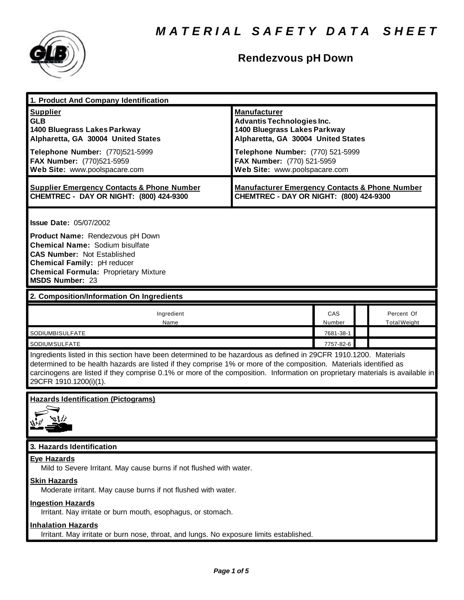

## **Rendezvous pH Down**

| 1. Product And Company Identification                                                                                                                                                                                                                                                                                                                                                                                           |                                                                                                                                                                                                                                   |               |  |                                   |  |
|---------------------------------------------------------------------------------------------------------------------------------------------------------------------------------------------------------------------------------------------------------------------------------------------------------------------------------------------------------------------------------------------------------------------------------|-----------------------------------------------------------------------------------------------------------------------------------------------------------------------------------------------------------------------------------|---------------|--|-----------------------------------|--|
| <b>Supplier</b><br><b>GLB</b><br>1400 Bluegrass Lakes Parkway<br>Alpharetta, GA 30004 United States<br>Telephone Number: (770)521-5999<br>FAX Number: (770)521-5959<br>Web Site: www.poolspacare.com                                                                                                                                                                                                                            | <b>Manufacturer</b><br><b>Advantis Technologies Inc.</b><br>1400 Bluegrass Lakes Parkway<br>Alpharetta, GA 30004 United States<br>Telephone Number: (770) 521-5999<br>FAX Number: (770) 521-5959<br>Web Site: www.poolspacare.com |               |  |                                   |  |
| <b>Supplier Emergency Contacts &amp; Phone Number</b><br><b>CHEMTREC - DAY OR NIGHT: (800) 424-9300</b>                                                                                                                                                                                                                                                                                                                         | <b>Manufacturer Emergency Contacts &amp; Phone Number</b><br>CHEMTREC - DAY OR NIGHT: (800) 424-9300                                                                                                                              |               |  |                                   |  |
| <b>Issue Date: 05/07/2002</b><br>Product Name: Rendezvous pH Down<br><b>Chemical Name: Sodium bisulfate</b><br><b>CAS Number: Not Established</b><br>Chemical Family: pH reducer<br><b>Chemical Formula: Proprietary Mixture</b><br><b>MSDS Number: 23</b>                                                                                                                                                                      |                                                                                                                                                                                                                                   |               |  |                                   |  |
| 2. Composition/Information On Ingredients                                                                                                                                                                                                                                                                                                                                                                                       |                                                                                                                                                                                                                                   |               |  |                                   |  |
| Ingredient<br>Name                                                                                                                                                                                                                                                                                                                                                                                                              |                                                                                                                                                                                                                                   | CAS<br>Number |  | Percent Of<br><b>Total Weight</b> |  |
| SODIUMBISULFATE                                                                                                                                                                                                                                                                                                                                                                                                                 |                                                                                                                                                                                                                                   | 7681-38-1     |  |                                   |  |
| 7757-82-6<br>SODIUMSULFATE<br>Ingredients listed in this section have been determined to be hazardous as defined in 29CFR 1910.1200. Materials<br>determined to be health hazards are listed if they comprise 1% or more of the composition. Materials identified as<br>carcinogens are listed if they comprise 0.1% or more of the composition. Information on proprietary materials is available in<br>29CFR 1910.1200(i)(1). |                                                                                                                                                                                                                                   |               |  |                                   |  |
| <b>Hazards Identification (Pictograms)</b>                                                                                                                                                                                                                                                                                                                                                                                      |                                                                                                                                                                                                                                   |               |  |                                   |  |
| 3. Hazards Identification                                                                                                                                                                                                                                                                                                                                                                                                       |                                                                                                                                                                                                                                   |               |  |                                   |  |
| <b>Eye Hazards</b><br>Mild to Severe Irritant. May cause burns if not flushed with water.<br><b>Skin Hazards</b><br>Moderate irritant. May cause burns if not flushed with water.<br><b>Ingestion Hazards</b><br>Irritant. Nay irritate or burn mouth, esophagus, or stomach.<br><b>Inhalation Hazards</b>                                                                                                                      |                                                                                                                                                                                                                                   |               |  |                                   |  |
| Irritant. May irritate or burn nose, throat, and lungs. No exposure limits established.                                                                                                                                                                                                                                                                                                                                         |                                                                                                                                                                                                                                   |               |  |                                   |  |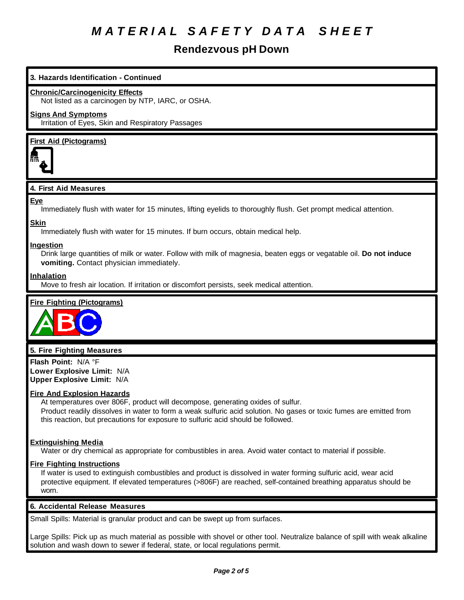### **Rendezvous pH Down**

#### **3. Hazards Identification - Continued**

#### **Chronic/Carcinogenicity Effects**

Not listed as a carcinogen by NTP, IARC, or OSHA.

#### **Signs And Symptoms**

Irritation of Eyes, Skin and Respiratory Passages

#### **First Aid (Pictograms)**



#### **4. First Aid Measures**

#### **Eye**

Immediately flush with water for 15 minutes, lifting eyelids to thoroughly flush. Get prompt medical attention.

## **Skin**

Immediately flush with water for 15 minutes. If burn occurs, obtain medical help.

#### **Ingestion**

Drink large quantities of milk or water. Follow with milk of magnesia, beaten eggs or vegatable oil. **Do not induce vomiting.** Contact physician immediately.

#### **Inhalation**

Move to fresh air location. If irritation or discomfort persists, seek medical attention.

#### **Fire Fighting (Pictograms)**



#### **5. Fire Fighting Measures**

**Flash Point:** N/A °F **Lower Explosive Limit:** N/A **Upper Explosive Limit:** N/A

#### **Fire And Explosion Hazards**

At temperatures over 806F, product will decompose, generating oxides of sulfur. Product readily dissolves in water to form a weak sulfuric acid solution. No gases or toxic fumes are emitted from this reaction, but precautions for exposure to sulfuric acid should be followed.

#### **Extinguishing Media**

Water or dry chemical as appropriate for combustibles in area. Avoid water contact to material if possible.

#### **Fire Fighting Instructions**

If water is used to extinguish combustibles and product is dissolved in water forming sulfuric acid, wear acid protective equipment. If elevated temperatures (>806F) are reached, self-contained breathing apparatus should be worn.

#### **6. Accidental Release Measures**

Small Spills: Material is granular product and can be swept up from surfaces.

Large Spills: Pick up as much material as possible with shovel or other tool. Neutralize balance of spill with weak alkaline solution and wash down to sewer if federal, state, or local regulations permit.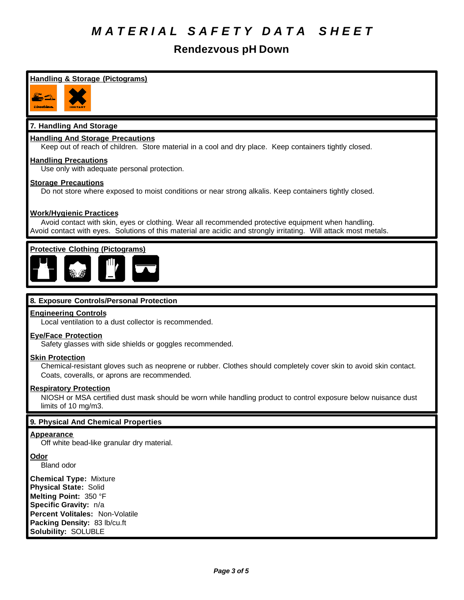## **Rendezvous pH Down**

| Handling & Storage (Pictograms)                                                                                                                                                                                                                           |
|-----------------------------------------------------------------------------------------------------------------------------------------------------------------------------------------------------------------------------------------------------------|
| como Ima                                                                                                                                                                                                                                                  |
| 7. Handling And Storage                                                                                                                                                                                                                                   |
| <b>Handling And Storage Precautions</b><br>Keep out of reach of children. Store material in a cool and dry place. Keep containers tightly closed.                                                                                                         |
| <b>Handling Precautions</b><br>Use only with adequate personal protection.                                                                                                                                                                                |
| <b>Storage Precautions</b><br>Do not store where exposed to moist conditions or near strong alkalis. Keep containers tightly closed.                                                                                                                      |
| <b>Work/Hygienic Practices</b><br>Avoid contact with skin, eyes or clothing. Wear all recommended protective equipment when handling.<br>Avoid contact with eyes. Solutions of this material are acidic and strongly irritating. Will attack most metals. |
| <b>Protective Clothing (Pictograms)</b>                                                                                                                                                                                                                   |
| 8. Exposure Controls/Personal Protection                                                                                                                                                                                                                  |
| <b>Engineering Controls</b><br>Local ventilation to a dust collector is recommended.                                                                                                                                                                      |
| <b>Eye/Face Protection</b><br>Safety glasses with side shields or goggles recommended.                                                                                                                                                                    |
| <b>Skin Protection</b><br>Chemical-resistant gloves such as neoprene or rubber. Clothes should completely cover skin to avoid skin contact.<br>Coats, coveralls, or aprons are recommended.                                                               |
| <b>Respiratory Protection</b><br>NIOSH or MSA certified dust mask should be worn while handling product to control exposure below nuisance dust<br>limits of 10 ma/m3.                                                                                    |
| 9. Physical And Chemical Properties                                                                                                                                                                                                                       |
| <b>Appearance</b><br>Off white bead-like granular dry material.                                                                                                                                                                                           |
| <b>Odor</b><br><b>Bland odor</b>                                                                                                                                                                                                                          |
| <b>Chemical Type: Mixture</b><br><b>Physical State: Solid</b><br>Melting Point: 350 °F<br>Specific Gravity: n/a<br>Percent Volitales: Non-Volatile<br>Packing Density: 83 lb/cu.ft<br>Solubility: SOLUBLE                                                 |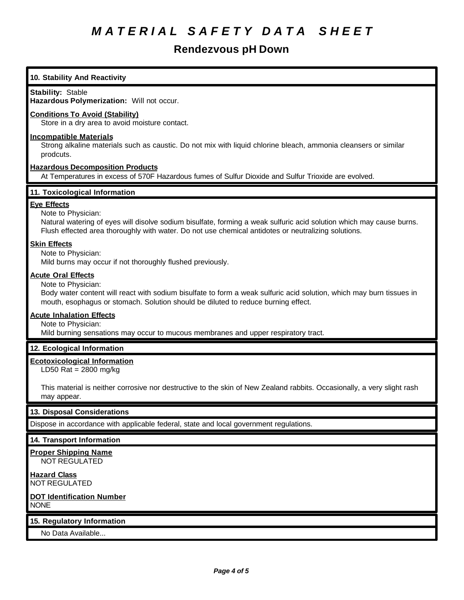### **Rendezvous pH Down**

### **10. Stability And Reactivity Stability:** Stable **Hazardous Polymerization:** Will not occur. **Conditions To Avoid (Stability)** Store in a dry area to avoid moisture contact. **Incompatible Materials** Strong alkaline materials such as caustic. Do not mix with liquid chlorine bleach, ammonia cleansers or similar prodcuts. **Hazardous Decomposition Products** At Temperatures in excess of 570F Hazardous fumes of Sulfur Dioxide and Sulfur Trioxide are evolved. **11. Toxicological Information Eye Effects** Note to Physician: Natural watering of eyes will disolve sodium bisulfate, forming a weak sulfuric acid solution which may cause burns. Flush effected area thoroughly with water. Do not use chemical antidotes or neutralizing solutions. **Skin Effects** Note to Physician: Mild burns may occur if not thoroughly flushed previously. **Acute Oral Effects** Note to Physician: Body water content will react with sodium bisulfate to form a weak sulfuric acid solution, which may burn tissues in mouth, esophagus or stomach. Solution should be diluted to reduce burning effect. **Acute Inhalation Effects** Note to Physician: Mild burning sensations may occur to mucous membranes and upper respiratory tract. **12. Ecological Information Ecotoxicological Information** LD50 Rat = 2800 mg/kg This material is neither corrosive nor destructive to the skin of New Zealand rabbits. Occasionally, a very slight rash may appear. **13. Disposal Considerations** Dispose in accordance with applicable federal, state and local government regulations. **14. Transport Information Proper Shipping Name** NOT REGULATED **Hazard Class** NOT REGULATED **DOT Identification Number** NONE **15. Regulatory Information** No Data Available...